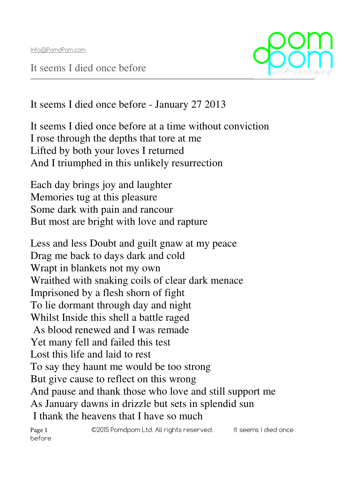It seems I died once before



It seems I died once before - January 27 2013

It seems I died once before at a time without conviction I rose through the depths that tore at me Lifted by both your loves I returned And I triumphed in this unlikely resurrection

Each day brings joy and laughter Memories tug at this pleasure Some dark with pain and rancour But most are bright with love and rapture

Less and less Doubt and guilt gnaw at my peace Drag me back to days dark and cold Wrapt in blankets not my own Wraithed with snaking coils of clear dark menace Imprisoned by a flesh shorn of fight To lie dormant through day and night Whilst Inside this shell a battle raged As blood renewed and I was remade Yet many fell and failed this test Lost this life and laid to rest To say they haunt me would be too strong But give cause to reflect on this wrong And pause and thank those who love and still support me As January dawns in drizzle but sets in splendid sun I thank the heavens that I have so much